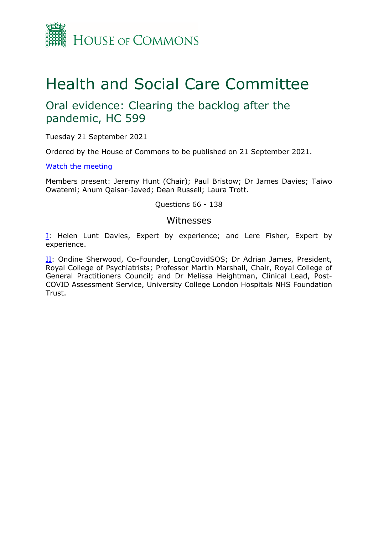

# Health and Social Care Committee

## Oral evidence: Clearing the backlog after the pandemic, HC 599

Tuesday 21 September 2021

Ordered by the House of Commons to be published on 21 September 2021.

[Watch](https://www.parliamentlive.tv/Event/Index/670974ca-5896-4e4d-a242-a039af11c89c) [the](https://www.parliamentlive.tv/Event/Index/670974ca-5896-4e4d-a242-a039af11c89c) [meeting](https://www.parliamentlive.tv/Event/Index/670974ca-5896-4e4d-a242-a039af11c89c)

Members present: Jeremy Hunt (Chair); Paul Bristow; Dr James Davies; Taiwo Owatemi; Anum Qaisar-Javed; Dean Russell; Laura Trott.

Questions 66 - 138

## Witnesses

[I:](#page-1-0) Helen Lunt Davies, Expert by experience; and Lere Fisher, Expert by experience.

II: Ondine Sherwood, Co-Founder, LongCovidSOS; Dr Adrian James, President, Royal College of Psychiatrists; Professor Martin Marshall, Chair, Royal College of General Practitioners Council; and Dr Melissa Heightman, Clinical Lead, Post-COVID Assessment Service, University College London Hospitals NHS Foundation Trust.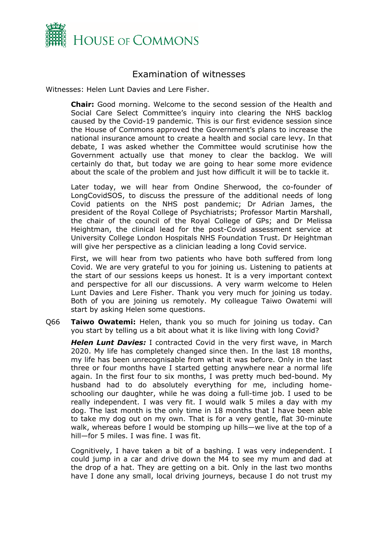

## <span id="page-1-0"></span>Examination of witnesses

Witnesses: Helen Lunt Davies and Lere Fisher.

**Chair:** Good morning. Welcome to the second session of the Health and Social Care Select Committee's inquiry into clearing the NHS backlog caused by the Covid-19 pandemic. This is our first evidence session since the House of Commons approved the Government's plans to increase the national insurance amount to create a health and social care levy. In that debate, I was asked whether the Committee would scrutinise how the Government actually use that money to clear the backlog. We will certainly do that, but today we are going to hear some more evidence about the scale of the problem and just how difficult it will be to tackle it.

Later today, we will hear from Ondine Sherwood, the co-founder of LongCovidSOS, to discuss the pressure of the additional needs of long Covid patients on the NHS post pandemic; Dr Adrian James, the president of the Royal College of Psychiatrists; Professor Martin Marshall, the chair of the council of the Royal College of GPs; and Dr Melissa Heightman, the clinical lead for the post-Covid assessment service at University College London Hospitals NHS Foundation Trust. Dr Heightman will give her perspective as a clinician leading a long Covid service.

First, we will hear from two patients who have both suffered from long Covid. We are very grateful to you for joining us. Listening to patients at the start of our sessions keeps us honest. It is a very important context and perspective for all our discussions. A very warm welcome to Helen Lunt Davies and Lere Fisher. Thank you very much for joining us today. Both of you are joining us remotely. My colleague Taiwo Owatemi will start by asking Helen some questions.

Q66 **Taiwo Owatemi:** Helen, thank you so much for joining us today. Can you start by telling us a bit about what it is like living with long Covid?

*Helen Lunt Davies:* I contracted Covid in the very first wave, in March 2020. My life has completely changed since then. In the last 18 months, my life has been unrecognisable from what it was before. Only in the last three or four months have I started getting anywhere near a normal life again. In the first four to six months, I was pretty much bed-bound. My husband had to do absolutely everything for me, including homeschooling our daughter, while he was doing a full-time job. I used to be really independent. I was very fit. I would walk 5 miles a day with my dog. The last month is the only time in 18 months that I have been able to take my dog out on my own. That is for a very gentle, flat 30-minute walk, whereas before I would be stomping up hills—we live at the top of a hill—for 5 miles. I was fine. I was fit.

Cognitively, I have taken a bit of a bashing. I was very independent. I could jump in a car and drive down the M4 to see my mum and dad at the drop of a hat. They are getting on a bit. Only in the last two months have I done any small, local driving journeys, because I do not trust my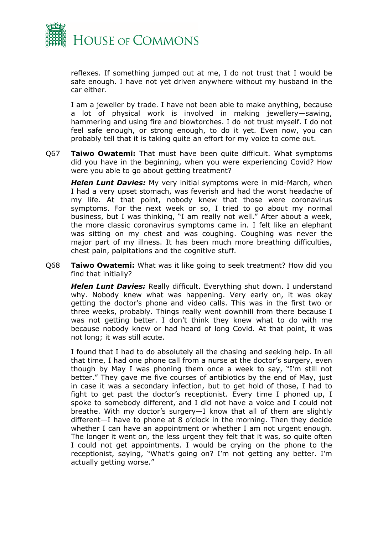

reflexes. If something jumped out at me, I do not trust that I would be safe enough. I have not yet driven anywhere without my husband in the car either.

I am a jeweller by trade. I have not been able to make anything, because a lot of physical work is involved in making jewellery—sawing, hammering and using fire and blowtorches. I do not trust myself. I do not feel safe enough, or strong enough, to do it yet. Even now, you can probably tell that it is taking quite an effort for my voice to come out.

Q67 **Taiwo Owatemi:** That must have been quite difficult. What symptoms did you have in the beginning, when you were experiencing Covid? How were you able to go about getting treatment?

*Helen Lunt Davies:* My very initial symptoms were in mid-March, when I had a very upset stomach, was feverish and had the worst headache of my life. At that point, nobody knew that those were coronavirus symptoms. For the next week or so, I tried to go about my normal business, but I was thinking, "I am really not well." After about a week, the more classic coronavirus symptoms came in. I felt like an elephant was sitting on my chest and was coughing. Coughing was never the major part of my illness. It has been much more breathing difficulties, chest pain, palpitations and the cognitive stuff.

Q68 **Taiwo Owatemi:** What was it like going to seek treatment? How did you find that initially?

*Helen Lunt Davies:* Really difficult. Everything shut down. I understand why. Nobody knew what was happening. Very early on, it was okay getting the doctor's phone and video calls. This was in the first two or three weeks, probably. Things really went downhill from there because I was not getting better. I don't think they knew what to do with me because nobody knew or had heard of long Covid. At that point, it was not long; it was still acute.

I found that I had to do absolutely all the chasing and seeking help. In all that time, I had one phone call from a nurse at the doctor's surgery, even though by May I was phoning them once a week to say, "I'm still not better." They gave me five courses of antibiotics by the end of May, just in case it was a secondary infection, but to get hold of those, I had to fight to get past the doctor's receptionist. Every time I phoned up, I spoke to somebody different, and I did not have a voice and I could not breathe. With my doctor's surgery—I know that all of them are slightly different—I have to phone at 8 o'clock in the morning. Then they decide whether I can have an appointment or whether I am not urgent enough. The longer it went on, the less urgent they felt that it was, so quite often I could not get appointments. I would be crying on the phone to the receptionist, saying, "What's going on? I'm not getting any better. I'm actually getting worse."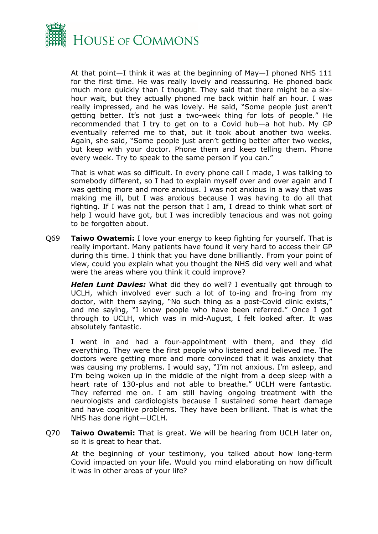

At that point—I think it was at the beginning of May—I phoned NHS 111 for the first time. He was really lovely and reassuring. He phoned back much more quickly than I thought. They said that there might be a sixhour wait, but they actually phoned me back within half an hour. I was really impressed, and he was lovely. He said, "Some people just aren't getting better. It's not just a two-week thing for lots of people." He recommended that I try to get on to a Covid hub—a hot hub. My GP eventually referred me to that, but it took about another two weeks. Again, she said, "Some people just aren't getting better after two weeks, but keep with your doctor. Phone them and keep telling them. Phone every week. Try to speak to the same person if you can."

That is what was so difficult. In every phone call I made, I was talking to somebody different, so I had to explain myself over and over again and I was getting more and more anxious. I was not anxious in a way that was making me ill, but I was anxious because I was having to do all that fighting. If I was not the person that I am, I dread to think what sort of help I would have got, but I was incredibly tenacious and was not going to be forgotten about.

Q69 **Taiwo Owatemi:** I love your energy to keep fighting for yourself. That is really important. Many patients have found it very hard to access their GP during this time. I think that you have done brilliantly. From your point of view, could you explain what you thought the NHS did very well and what were the areas where you think it could improve?

*Helen Lunt Davies:* What did they do well? I eventually got through to UCLH, which involved ever such a lot of to-ing and fro-ing from my doctor, with them saying, "No such thing as a post-Covid clinic exists," and me saying, "I know people who have been referred." Once I got through to UCLH, which was in mid-August, I felt looked after. It was absolutely fantastic.

I went in and had a four-appointment with them, and they did everything. They were the first people who listened and believed me. The doctors were getting more and more convinced that it was anxiety that was causing my problems. I would say, "I'm not anxious. I'm asleep, and I'm being woken up in the middle of the night from a deep sleep with a heart rate of 130-plus and not able to breathe." UCLH were fantastic. They referred me on. I am still having ongoing treatment with the neurologists and cardiologists because I sustained some heart damage and have cognitive problems. They have been brilliant. That is what the NHS has done right—UCLH.

Q70 **Taiwo Owatemi:** That is great. We will be hearing from UCLH later on, so it is great to hear that.

At the beginning of your testimony, you talked about how long-term Covid impacted on your life. Would you mind elaborating on how difficult it was in other areas of your life?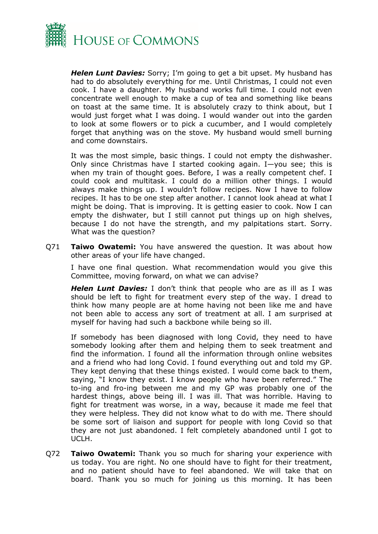

*Helen Lunt Davies:* Sorry; I'm going to get a bit upset. My husband has had to do absolutely everything for me. Until Christmas, I could not even cook. I have a daughter. My husband works full time. I could not even concentrate well enough to make a cup of tea and something like beans on toast at the same time. It is absolutely crazy to think about, but I would just forget what I was doing. I would wander out into the garden to look at some flowers or to pick a cucumber, and I would completely forget that anything was on the stove. My husband would smell burning and come downstairs.

It was the most simple, basic things. I could not empty the dishwasher. Only since Christmas have I started cooking again. I—you see; this is when my train of thought goes. Before, I was a really competent chef. I could cook and multitask. I could do a million other things. I would always make things up. I wouldn't follow recipes. Now I have to follow recipes. It has to be one step after another. I cannot look ahead at what I might be doing. That is improving. It is getting easier to cook. Now I can empty the dishwater, but I still cannot put things up on high shelves, because I do not have the strength, and my palpitations start. Sorry. What was the question?

Q71 **Taiwo Owatemi:** You have answered the question. It was about how other areas of your life have changed.

I have one final question. What recommendation would you give this Committee, moving forward, on what we can advise?

*Helen Lunt Davies:* I don't think that people who are as ill as I was should be left to fight for treatment every step of the way. I dread to think how many people are at home having not been like me and have not been able to access any sort of treatment at all. I am surprised at myself for having had such a backbone while being so ill.

If somebody has been diagnosed with long Covid, they need to have somebody looking after them and helping them to seek treatment and find the information. I found all the information through online websites and a friend who had long Covid. I found everything out and told my GP. They kept denying that these things existed. I would come back to them, saying, "I know they exist. I know people who have been referred." The to-ing and fro-ing between me and my GP was probably one of the hardest things, above being ill. I was ill. That was horrible. Having to fight for treatment was worse, in a way, because it made me feel that they were helpless. They did not know what to do with me. There should be some sort of liaison and support for people with long Covid so that they are not just abandoned. I felt completely abandoned until I got to UCLH.

Q72 **Taiwo Owatemi:** Thank you so much for sharing your experience with us today. You are right. No one should have to fight for their treatment, and no patient should have to feel abandoned. We will take that on board. Thank you so much for joining us this morning. It has been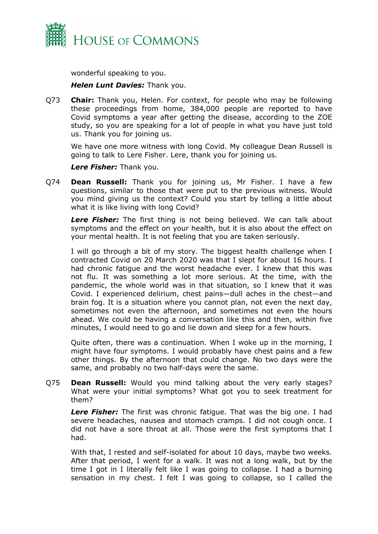

wonderful speaking to you.

## *Helen Lunt Davies:* Thank you.

Q73 **Chair:** Thank you, Helen. For context, for people who may be following these proceedings from home, 384,000 people are reported to have Covid symptoms a year after getting the disease, according to the ZOE study, so you are speaking for a lot of people in what you have just told us. Thank you for joining us.

We have one more witness with long Covid. My colleague Dean Russell is going to talk to Lere Fisher. Lere, thank you for joining us.

*Lere Fisher:* Thank you.

Q74 **Dean Russell:** Thank you for joining us, Mr Fisher. I have a few questions, similar to those that were put to the previous witness. Would you mind giving us the context? Could you start by telling a little about what it is like living with long Covid?

*Lere Fisher:* The first thing is not being believed. We can talk about symptoms and the effect on your health, but it is also about the effect on your mental health. It is not feeling that you are taken seriously.

I will go through a bit of my story. The biggest health challenge when I contracted Covid on 20 March 2020 was that I slept for about 16 hours. I had chronic fatigue and the worst headache ever. I knew that this was not flu. It was something a lot more serious. At the time, with the pandemic, the whole world was in that situation, so I knew that it was Covid. I experienced delirium, chest pains—dull aches in the chest—and brain fog. It is a situation where you cannot plan, not even the next day, sometimes not even the afternoon, and sometimes not even the hours ahead. We could be having a conversation like this and then, within five minutes, I would need to go and lie down and sleep for a few hours.

Quite often, there was a continuation. When I woke up in the morning, I might have four symptoms. I would probably have chest pains and a few other things. By the afternoon that could change. No two days were the same, and probably no two half-days were the same.

Q75 **Dean Russell:** Would you mind talking about the very early stages? What were your initial symptoms? What got you to seek treatment for them?

*Lere Fisher:* The first was chronic fatigue. That was the big one. I had severe headaches, nausea and stomach cramps. I did not cough once. I did not have a sore throat at all. Those were the first symptoms that I had.

With that, I rested and self-isolated for about 10 days, maybe two weeks. After that period, I went for a walk. It was not a long walk, but by the time I got in I literally felt like I was going to collapse. I had a burning sensation in my chest. I felt I was going to collapse, so I called the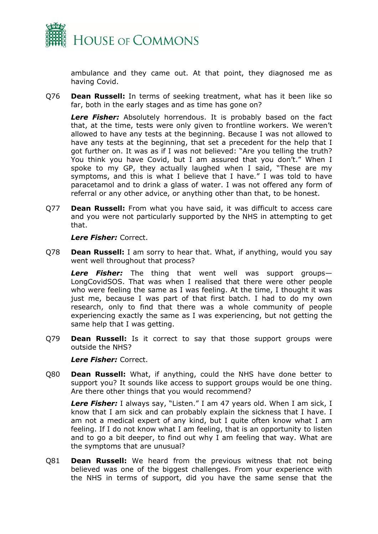

ambulance and they came out. At that point, they diagnosed me as having Covid.

Q76 **Dean Russell:** In terms of seeking treatment, what has it been like so far, both in the early stages and as time has gone on?

*Lere Fisher:* Absolutely horrendous. It is probably based on the fact that, at the time, tests were only given to frontline workers. We weren't allowed to have any tests at the beginning. Because I was not allowed to have any tests at the beginning, that set a precedent for the help that I got further on. It was as if I was not believed: "Are you telling the truth? You think you have Covid, but I am assured that you don't." When I spoke to my GP, they actually laughed when I said, "These are my symptoms, and this is what I believe that I have." I was told to have paracetamol and to drink a glass of water. I was not offered any form of referral or any other advice, or anything other than that, to be honest.

Q77 **Dean Russell:** From what you have said, it was difficult to access care and you were not particularly supported by the NHS in attempting to get that.

*Lere Fisher:* Correct.

Q78 **Dean Russell:** I am sorry to hear that. What, if anything, would you say went well throughout that process?

*Lere Fisher:* The thing that went well was support groups— LongCovidSOS. That was when I realised that there were other people who were feeling the same as I was feeling. At the time, I thought it was just me, because I was part of that first batch. I had to do my own research, only to find that there was a whole community of people experiencing exactly the same as I was experiencing, but not getting the same help that I was getting.

Q79 **Dean Russell:** Is it correct to say that those support groups were outside the NHS?

*Lere Fisher:* Correct.

Q80 **Dean Russell:** What, if anything, could the NHS have done better to support you? It sounds like access to support groups would be one thing. Are there other things that you would recommend?

*Lere Fisher:* I always say, "Listen." I am 47 years old. When I am sick, I know that I am sick and can probably explain the sickness that I have. I am not a medical expert of any kind, but I quite often know what I am feeling. If I do not know what I am feeling, that is an opportunity to listen and to go a bit deeper, to find out why I am feeling that way. What are the symptoms that are unusual?

Q81 **Dean Russell:** We heard from the previous witness that not being believed was one of the biggest challenges. From your experience with the NHS in terms of support, did you have the same sense that the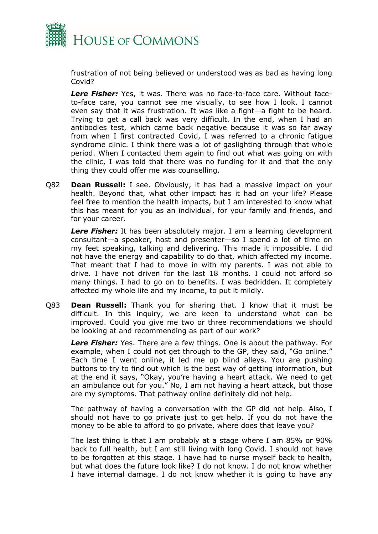

frustration of not being believed or understood was as bad as having long Covid?

*Lere Fisher:* Yes, it was. There was no face-to-face care. Without faceto-face care, you cannot see me visually, to see how I look. I cannot even say that it was frustration. It was like a fight—a fight to be heard. Trying to get a call back was very difficult. In the end, when I had an antibodies test, which came back negative because it was so far away from when I first contracted Covid, I was referred to a chronic fatigue syndrome clinic. I think there was a lot of gaslighting through that whole period. When I contacted them again to find out what was going on with the clinic, I was told that there was no funding for it and that the only thing they could offer me was counselling.

Q82 **Dean Russell:** I see. Obviously, it has had a massive impact on your health. Beyond that, what other impact has it had on your life? Please feel free to mention the health impacts, but I am interested to know what this has meant for you as an individual, for your family and friends, and for your career.

*Lere Fisher:* It has been absolutely major. I am a learning development consultant—a speaker, host and presenter—so I spend a lot of time on my feet speaking, talking and delivering. This made it impossible. I did not have the energy and capability to do that, which affected my income. That meant that I had to move in with my parents. I was not able to drive. I have not driven for the last 18 months. I could not afford so many things. I had to go on to benefits. I was bedridden. It completely affected my whole life and my income, to put it mildly.

Q83 **Dean Russell:** Thank you for sharing that. I know that it must be difficult. In this inquiry, we are keen to understand what can be improved. Could you give me two or three recommendations we should be looking at and recommending as part of our work?

*Lere Fisher:* Yes. There are a few things. One is about the pathway. For example, when I could not get through to the GP, they said, "Go online." Each time I went online, it led me up blind alleys. You are pushing buttons to try to find out which is the best way of getting information, but at the end it says, "Okay, you're having a heart attack. We need to get an ambulance out for you." No, I am not having a heart attack, but those are my symptoms. That pathway online definitely did not help.

The pathway of having a conversation with the GP did not help. Also, I should not have to go private just to get help. If you do not have the money to be able to afford to go private, where does that leave you?

The last thing is that I am probably at a stage where I am 85% or 90% back to full health, but I am still living with long Covid. I should not have to be forgotten at this stage. I have had to nurse myself back to health, but what does the future look like? I do not know. I do not know whether I have internal damage. I do not know whether it is going to have any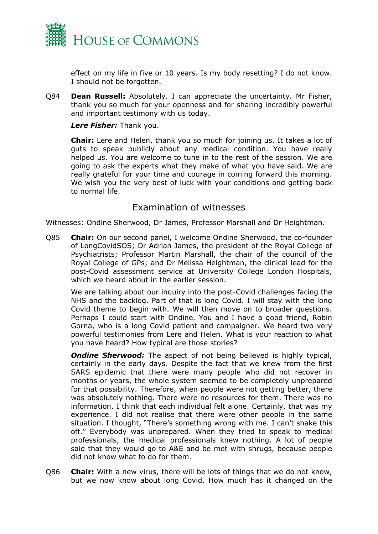

effect on my life in five or 10 years. Is my body resetting? I do not know. I should not be forgotten.

Q84 **Dean Russell:** Absolutely. I can appreciate the uncertainty. Mr Fisher, thank you so much for your openness and for sharing incredibly powerful and important testimony with us today.

## *Lere Fisher:* Thank you.

**Chair:** Lere and Helen, thank you so much for joining us. It takes a lot of guts to speak publicly about any medical condition. You have really helped us. You are welcome to tune in to the rest of the session. We are going to ask the experts what they make of what you have said. We are really grateful for your time and courage in coming forward this morning. We wish you the very best of luck with your conditions and getting back to normal life.

## Examination of witnesses

Witnesses: Ondine Sherwood, Dr James, Professor Marshall and Dr Heightman.

Q85 **Chair:** On our second panel, I welcome Ondine Sherwood, the co-founder of LongCovidSOS; Dr Adrian James, the president of the Royal College of Psychiatrists; Professor Martin Marshall, the chair of the council of the Royal College of GPs; and Dr Melissa Heightman, the clinical lead for the post-Covid assessment service at University College London Hospitals, which we heard about in the earlier session.

We are talking about our inquiry into the post-Covid challenges facing the NHS and the backlog. Part of that is long Covid. I will stay with the long Covid theme to begin with. We will then move on to broader questions. Perhaps I could start with Ondine. You and I have a good friend, Robin Gorna, who is a long Covid patient and campaigner. We heard two very powerful testimonies from Lere and Helen. What is your reaction to what you have heard? How typical are those stories?

**Ondine Sherwood:** The aspect of not being believed is highly typical, certainly in the early days. Despite the fact that we knew from the first SARS epidemic that there were many people who did not recover in months or years, the whole system seemed to be completely unprepared for that possibility. Therefore, when people were not getting better, there was absolutely nothing. There were no resources for them. There was no information. I think that each individual felt alone. Certainly, that was my experience. I did not realise that there were other people in the same situation. I thought, "There's something wrong with me. I can't shake this off." Everybody was unprepared. When they tried to speak to medical professionals, the medical professionals knew nothing. A lot of people said that they would go to A&E and be met with shrugs, because people did not know what to do for them.

Q86 **Chair:** With a new virus, there will be lots of things that we do not know, but we now know about long Covid. How much has it changed on the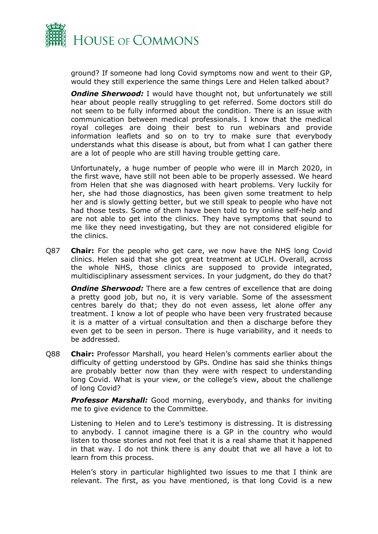

ground? If someone had long Covid symptoms now and went to their GP, would they still experience the same things Lere and Helen talked about?

**Ondine Sherwood:** I would have thought not, but unfortunately we still hear about people really struggling to get referred. Some doctors still do not seem to be fully informed about the condition. There is an issue with communication between medical professionals. I know that the medical royal colleges are doing their best to run webinars and provide information leaflets and so on to try to make sure that everybody understands what this disease is about, but from what I can gather there are a lot of people who are still having trouble getting care.

Unfortunately, a huge number of people who were ill in March 2020, in the first wave, have still not been able to be properly assessed. We heard from Helen that she was diagnosed with heart problems. Very luckily for her, she had those diagnostics, has been given some treatment to help her and is slowly getting better, but we still speak to people who have not had those tests. Some of them have been told to try online self-help and are not able to get into the clinics. They have symptoms that sound to me like they need investigating, but they are not considered eligible for the clinics.

Q87 **Chair:** For the people who get care, we now have the NHS long Covid clinics. Helen said that she got great treatment at UCLH. Overall, across the whole NHS, those clinics are supposed to provide integrated, multidisciplinary assessment services. In your judgment, do they do that?

*Ondine Sherwood:* There are a few centres of excellence that are doing a pretty good job, but no, it is very variable. Some of the assessment centres barely do that; they do not even assess, let alone offer any treatment. I know a lot of people who have been very frustrated because it is a matter of a virtual consultation and then a discharge before they even get to be seen in person. There is huge variability, and it needs to be addressed.

Q88 **Chair:** Professor Marshall, you heard Helen's comments earlier about the difficulty of getting understood by GPs. Ondine has said she thinks things are probably better now than they were with respect to understanding long Covid. What is your view, or the college's view, about the challenge of long Covid?

*Professor Marshall:* Good morning, everybody, and thanks for inviting me to give evidence to the Committee.

Listening to Helen and to Lere's testimony is distressing. It is distressing to anybody. I cannot imagine there is a GP in the country who would listen to those stories and not feel that it is a real shame that it happened in that way. I do not think there is any doubt that we all have a lot to learn from this process.

Helen's story in particular highlighted two issues to me that I think are relevant. The first, as you have mentioned, is that long Covid is a new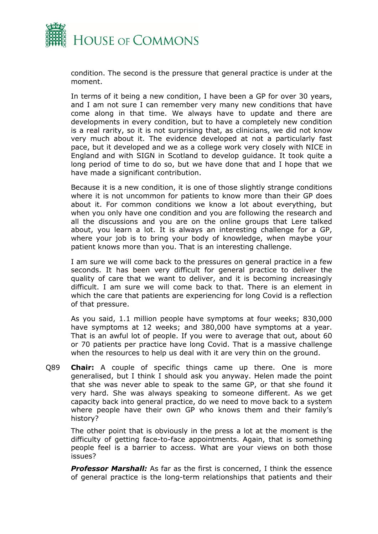

condition. The second is the pressure that general practice is under at the moment.

In terms of it being a new condition, I have been a GP for over 30 years, and I am not sure I can remember very many new conditions that have come along in that time. We always have to update and there are developments in every condition, but to have a completely new condition is a real rarity, so it is not surprising that, as clinicians, we did not know very much about it. The evidence developed at not a particularly fast pace, but it developed and we as a college work very closely with NICE in England and with SIGN in Scotland to develop guidance. It took quite a long period of time to do so, but we have done that and I hope that we have made a significant contribution.

Because it is a new condition, it is one of those slightly strange conditions where it is not uncommon for patients to know more than their GP does about it. For common conditions we know a lot about everything, but when you only have one condition and you are following the research and all the discussions and you are on the online groups that Lere talked about, you learn a lot. It is always an interesting challenge for a GP, where your job is to bring your body of knowledge, when maybe your patient knows more than you. That is an interesting challenge.

I am sure we will come back to the pressures on general practice in a few seconds. It has been very difficult for general practice to deliver the quality of care that we want to deliver, and it is becoming increasingly difficult. I am sure we will come back to that. There is an element in which the care that patients are experiencing for long Covid is a reflection of that pressure.

As you said, 1.1 million people have symptoms at four weeks; 830,000 have symptoms at 12 weeks; and 380,000 have symptoms at a year. That is an awful lot of people. If you were to average that out, about 60 or 70 patients per practice have long Covid. That is a massive challenge when the resources to help us deal with it are very thin on the ground.

Q89 **Chair:** A couple of specific things came up there. One is more generalised, but I think I should ask you anyway. Helen made the point that she was never able to speak to the same GP, or that she found it very hard. She was always speaking to someone different. As we get capacity back into general practice, do we need to move back to a system where people have their own GP who knows them and their family's history?

The other point that is obviously in the press a lot at the moment is the difficulty of getting face-to-face appointments. Again, that is something people feel is a barrier to access. What are your views on both those issues?

*Professor Marshall:* As far as the first is concerned, I think the essence of general practice is the long-term relationships that patients and their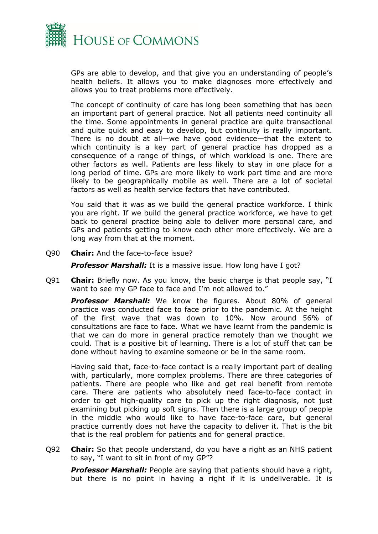

GPs are able to develop, and that give you an understanding of people's health beliefs. It allows you to make diagnoses more effectively and allows you to treat problems more effectively.

The concept of continuity of care has long been something that has been an important part of general practice. Not all patients need continuity all the time. Some appointments in general practice are quite transactional and quite quick and easy to develop, but continuity is really important. There is no doubt at all—we have good evidence—that the extent to which continuity is a key part of general practice has dropped as a consequence of a range of things, of which workload is one. There are other factors as well. Patients are less likely to stay in one place for a long period of time. GPs are more likely to work part time and are more likely to be geographically mobile as well. There are a lot of societal factors as well as health service factors that have contributed.

You said that it was as we build the general practice workforce. I think you are right. If we build the general practice workforce, we have to get back to general practice being able to deliver more personal care, and GPs and patients getting to know each other more effectively. We are a long way from that at the moment.

Q90 **Chair:** And the face-to-face issue?

**Professor Marshall:** It is a massive issue. How long have I got?

Q91 **Chair:** Briefly now. As you know, the basic charge is that people say, "I want to see my GP face to face and I'm not allowed to."

*Professor Marshall:* We know the figures. About 80% of general practice was conducted face to face prior to the pandemic. At the height of the first wave that was down to 10%. Now around 56% of consultations are face to face. What we have learnt from the pandemic is that we can do more in general practice remotely than we thought we could. That is a positive bit of learning. There is a lot of stuff that can be done without having to examine someone or be in the same room.

Having said that, face-to-face contact is a really important part of dealing with, particularly, more complex problems. There are three categories of patients. There are people who like and get real benefit from remote care. There are patients who absolutely need face-to-face contact in order to get high-quality care to pick up the right diagnosis, not just examining but picking up soft signs. Then there is a large group of people in the middle who would like to have face-to-face care, but general practice currently does not have the capacity to deliver it. That is the bit that is the real problem for patients and for general practice.

Q92 **Chair:** So that people understand, do you have a right as an NHS patient to say, "I want to sit in front of my GP"?

*Professor Marshall:* People are saying that patients should have a right, but there is no point in having a right if it is undeliverable. It is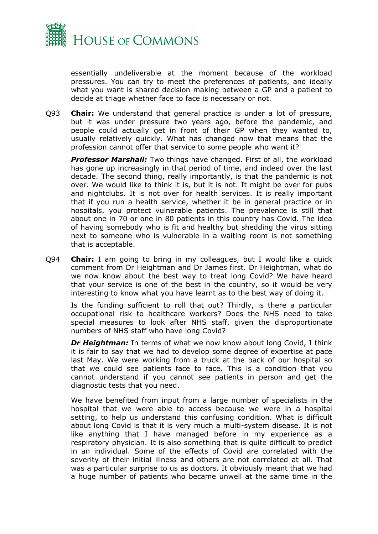

essentially undeliverable at the moment because of the workload pressures. You can try to meet the preferences of patients, and ideally what you want is shared decision making between a GP and a patient to decide at triage whether face to face is necessary or not.

Q93 **Chair:** We understand that general practice is under a lot of pressure, but it was under pressure two years ago, before the pandemic, and people could actually get in front of their GP when they wanted to, usually relatively quickly. What has changed now that means that the profession cannot offer that service to some people who want it?

*Professor Marshall:* Two things have changed. First of all, the workload has gone up increasingly in that period of time, and indeed over the last decade. The second thing, really importantly, is that the pandemic is not over. We would like to think it is, but it is not. It might be over for pubs and nightclubs. It is not over for health services. It is really important that if you run a health service, whether it be in general practice or in hospitals, you protect vulnerable patients. The prevalence is still that about one in 70 or one in 80 patients in this country has Covid. The idea of having somebody who is fit and healthy but shedding the virus sitting next to someone who is vulnerable in a waiting room is not something that is acceptable.

Q94 **Chair:** I am going to bring in my colleagues, but I would like a quick comment from Dr Heightman and Dr James first. Dr Heightman, what do we now know about the best way to treat long Covid? We have heard that your service is one of the best in the country, so it would be very interesting to know what you have learnt as to the best way of doing it.

Is the funding sufficient to roll that out? Thirdly, is there a particular occupational risk to healthcare workers? Does the NHS need to take special measures to look after NHS staff, given the disproportionate numbers of NHS staff who have long Covid?

*Dr Heightman:* In terms of what we now know about long Covid, I think it is fair to say that we had to develop some degree of expertise at pace last May. We were working from a truck at the back of our hospital so that we could see patients face to face. This is a condition that you cannot understand if you cannot see patients in person and get the diagnostic tests that you need.

We have benefited from input from a large number of specialists in the hospital that we were able to access because we were in a hospital setting, to help us understand this confusing condition. What is difficult about long Covid is that it is very much a multi-system disease. It is not like anything that I have managed before in my experience as a respiratory physician. It is also something that is quite difficult to predict in an individual. Some of the effects of Covid are correlated with the severity of their initial illness and others are not correlated at all. That was a particular surprise to us as doctors. It obviously meant that we had a huge number of patients who became unwell at the same time in the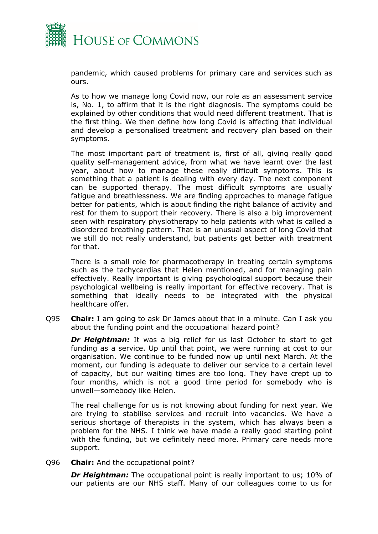

pandemic, which caused problems for primary care and services such as ours.

As to how we manage long Covid now, our role as an assessment service is, No. 1, to affirm that it is the right diagnosis. The symptoms could be explained by other conditions that would need different treatment. That is the first thing. We then define how long Covid is affecting that individual and develop a personalised treatment and recovery plan based on their symptoms.

The most important part of treatment is, first of all, giving really good quality self-management advice, from what we have learnt over the last year, about how to manage these really difficult symptoms. This is something that a patient is dealing with every day. The next component can be supported therapy. The most difficult symptoms are usually fatigue and breathlessness. We are finding approaches to manage fatigue better for patients, which is about finding the right balance of activity and rest for them to support their recovery. There is also a big improvement seen with respiratory physiotherapy to help patients with what is called a disordered breathing pattern. That is an unusual aspect of long Covid that we still do not really understand, but patients get better with treatment for that.

There is a small role for pharmacotherapy in treating certain symptoms such as the tachycardias that Helen mentioned, and for managing pain effectively. Really important is giving psychological support because their psychological wellbeing is really important for effective recovery. That is something that ideally needs to be integrated with the physical healthcare offer.

Q95 **Chair:** I am going to ask Dr James about that in a minute. Can I ask you about the funding point and the occupational hazard point?

**Dr Heightman:** It was a big relief for us last October to start to get funding as a service. Up until that point, we were running at cost to our organisation. We continue to be funded now up until next March. At the moment, our funding is adequate to deliver our service to a certain level of capacity, but our waiting times are too long. They have crept up to four months, which is not a good time period for somebody who is unwell—somebody like Helen.

The real challenge for us is not knowing about funding for next year. We are trying to stabilise services and recruit into vacancies. We have a serious shortage of therapists in the system, which has always been a problem for the NHS. I think we have made a really good starting point with the funding, but we definitely need more. Primary care needs more support.

Q96 **Chair:** And the occupational point?

**Dr Heightman:** The occupational point is really important to us; 10% of our patients are our NHS staff. Many of our colleagues come to us for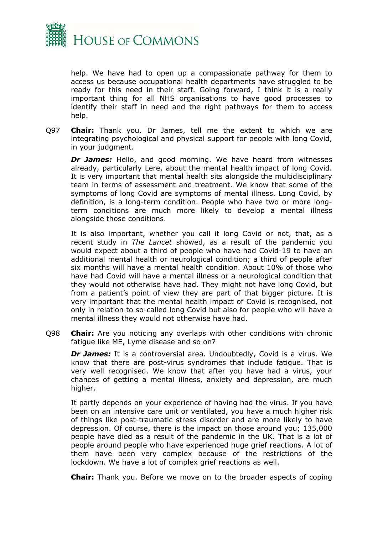

help. We have had to open up a compassionate pathway for them to access us because occupational health departments have struggled to be ready for this need in their staff. Going forward, I think it is a really important thing for all NHS organisations to have good processes to identify their staff in need and the right pathways for them to access help.

Q97 **Chair:** Thank you. Dr James, tell me the extent to which we are integrating psychological and physical support for people with long Covid, in your judgment.

*Dr James:* Hello, and good morning. We have heard from witnesses already, particularly Lere, about the mental health impact of long Covid. It is very important that mental health sits alongside the multidisciplinary team in terms of assessment and treatment. We know that some of the symptoms of long Covid are symptoms of mental illness. Long Covid, by definition, is a long-term condition. People who have two or more longterm conditions are much more likely to develop a mental illness alongside those conditions.

It is also important, whether you call it long Covid or not, that, as a recent study in *The Lancet* showed, as a result of the pandemic you would expect about a third of people who have had Covid-19 to have an additional mental health or neurological condition; a third of people after six months will have a mental health condition. About 10% of those who have had Covid will have a mental illness or a neurological condition that they would not otherwise have had. They might not have long Covid, but from a patient's point of view they are part of that bigger picture. It is very important that the mental health impact of Covid is recognised, not only in relation to so-called long Covid but also for people who will have a mental illness they would not otherwise have had.

Q98 **Chair:** Are you noticing any overlaps with other conditions with chronic fatigue like ME, Lyme disease and so on?

*Dr James:* It is a controversial area. Undoubtedly, Covid is a virus. We know that there are post-virus syndromes that include fatigue. That is very well recognised. We know that after you have had a virus, your chances of getting a mental illness, anxiety and depression, are much higher.

It partly depends on your experience of having had the virus. If you have been on an intensive care unit or ventilated, you have a much higher risk of things like post-traumatic stress disorder and are more likely to have depression. Of course, there is the impact on those around you; 135,000 people have died as a result of the pandemic in the UK. That is a lot of people around people who have experienced huge grief reactions. A lot of them have been very complex because of the restrictions of the lockdown. We have a lot of complex grief reactions as well.

**Chair:** Thank you. Before we move on to the broader aspects of coping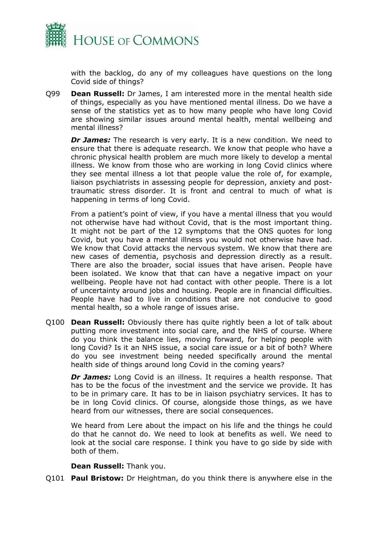

with the backlog, do any of my colleagues have questions on the long Covid side of things?

Q99 **Dean Russell:** Dr James, I am interested more in the mental health side of things, especially as you have mentioned mental illness. Do we have a sense of the statistics yet as to how many people who have long Covid are showing similar issues around mental health, mental wellbeing and mental illness?

*Dr James:* The research is very early. It is a new condition. We need to ensure that there is adequate research. We know that people who have a chronic physical health problem are much more likely to develop a mental illness. We know from those who are working in long Covid clinics where they see mental illness a lot that people value the role of, for example, liaison psychiatrists in assessing people for depression, anxiety and posttraumatic stress disorder. It is front and central to much of what is happening in terms of long Covid.

From a patient's point of view, if you have a mental illness that you would not otherwise have had without Covid, that is the most important thing. It might not be part of the 12 symptoms that the ONS quotes for long Covid, but you have a mental illness you would not otherwise have had. We know that Covid attacks the nervous system. We know that there are new cases of dementia, psychosis and depression directly as a result. There are also the broader, social issues that have arisen. People have been isolated. We know that that can have a negative impact on your wellbeing. People have not had contact with other people. There is a lot of uncertainty around jobs and housing. People are in financial difficulties. People have had to live in conditions that are not conducive to good mental health, so a whole range of issues arise.

Q100 **Dean Russell:** Obviously there has quite rightly been a lot of talk about putting more investment into social care, and the NHS of course. Where do you think the balance lies, moving forward, for helping people with long Covid? Is it an NHS issue, a social care issue or a bit of both? Where do you see investment being needed specifically around the mental health side of things around long Covid in the coming years?

*Dr James:* Long Covid is an illness. It requires a health response. That has to be the focus of the investment and the service we provide. It has to be in primary care. It has to be in liaison psychiatry services. It has to be in long Covid clinics. Of course, alongside those things, as we have heard from our witnesses, there are social consequences.

We heard from Lere about the impact on his life and the things he could do that he cannot do. We need to look at benefits as well. We need to look at the social care response. I think you have to go side by side with both of them.

## **Dean Russell:** Thank you.

Q101 **Paul Bristow:** Dr Heightman, do you think there is anywhere else in the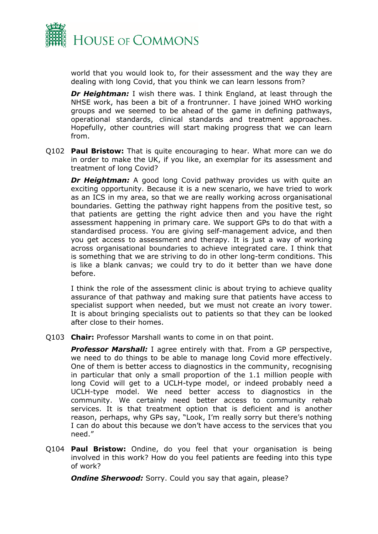

world that you would look to, for their assessment and the way they are dealing with long Covid, that you think we can learn lessons from?

*Dr Heightman:* I wish there was. I think England, at least through the NHSE work, has been a bit of a frontrunner. I have joined WHO working groups and we seemed to be ahead of the game in defining pathways, operational standards, clinical standards and treatment approaches. Hopefully, other countries will start making progress that we can learn from.

Q102 **Paul Bristow:** That is quite encouraging to hear. What more can we do in order to make the UK, if you like, an exemplar for its assessment and treatment of long Covid?

**Dr Heightman:** A good long Covid pathway provides us with quite an exciting opportunity. Because it is a new scenario, we have tried to work as an ICS in my area, so that we are really working across organisational boundaries. Getting the pathway right happens from the positive test, so that patients are getting the right advice then and you have the right assessment happening in primary care. We support GPs to do that with a standardised process. You are giving self-management advice, and then you get access to assessment and therapy. It is just a way of working across organisational boundaries to achieve integrated care. I think that is something that we are striving to do in other long-term conditions. This is like a blank canvas; we could try to do it better than we have done before.

I think the role of the assessment clinic is about trying to achieve quality assurance of that pathway and making sure that patients have access to specialist support when needed, but we must not create an ivory tower. It is about bringing specialists out to patients so that they can be looked after close to their homes.

Q103 **Chair:** Professor Marshall wants to come in on that point.

*Professor Marshall:* I agree entirely with that. From a GP perspective, we need to do things to be able to manage long Covid more effectively. One of them is better access to diagnostics in the community, recognising in particular that only a small proportion of the 1.1 million people with long Covid will get to a UCLH-type model, or indeed probably need a UCLH-type model. We need better access to diagnostics in the community. We certainly need better access to community rehab services. It is that treatment option that is deficient and is another reason, perhaps, why GPs say, "Look, I'm really sorry but there's nothing I can do about this because we don't have access to the services that you need."

Q104 **Paul Bristow:** Ondine, do you feel that your organisation is being involved in this work? How do you feel patients are feeding into this type of work?

**Ondine Sherwood:** Sorry. Could you say that again, please?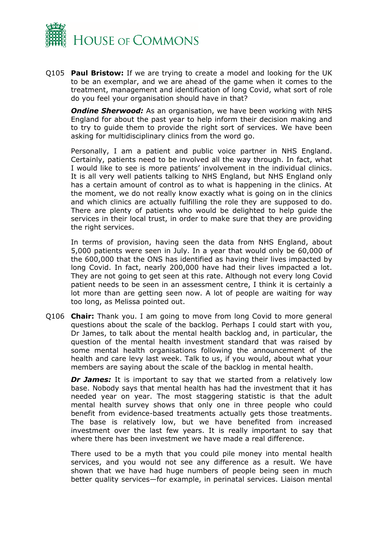

Q105 **Paul Bristow:** If we are trying to create a model and looking for the UK to be an exemplar, and we are ahead of the game when it comes to the treatment, management and identification of long Covid, what sort of role do you feel your organisation should have in that?

**Ondine Sherwood:** As an organisation, we have been working with NHS England for about the past year to help inform their decision making and to try to guide them to provide the right sort of services. We have been asking for multidisciplinary clinics from the word go.

Personally, I am a patient and public voice partner in NHS England. Certainly, patients need to be involved all the way through. In fact, what I would like to see is more patients' involvement in the individual clinics. It is all very well patients talking to NHS England, but NHS England only has a certain amount of control as to what is happening in the clinics. At the moment, we do not really know exactly what is going on in the clinics and which clinics are actually fulfilling the role they are supposed to do. There are plenty of patients who would be delighted to help guide the services in their local trust, in order to make sure that they are providing the right services.

In terms of provision, having seen the data from NHS England, about 5,000 patients were seen in July. In a year that would only be 60,000 of the 600,000 that the ONS has identified as having their lives impacted by long Covid. In fact, nearly 200,000 have had their lives impacted a lot. They are not going to get seen at this rate. Although not every long Covid patient needs to be seen in an assessment centre, I think it is certainly a lot more than are getting seen now. A lot of people are waiting for way too long, as Melissa pointed out.

Q106 **Chair:** Thank you. I am going to move from long Covid to more general questions about the scale of the backlog. Perhaps I could start with you, Dr James, to talk about the mental health backlog and, in particular, the question of the mental health investment standard that was raised by some mental health organisations following the announcement of the health and care levy last week. Talk to us, if you would, about what your members are saying about the scale of the backlog in mental health.

**Dr James:** It is important to say that we started from a relatively low base. Nobody says that mental health has had the investment that it has needed year on year. The most staggering statistic is that the adult mental health survey shows that only one in three people who could benefit from evidence-based treatments actually gets those treatments. The base is relatively low, but we have benefited from increased investment over the last few years. It is really important to say that where there has been investment we have made a real difference.

There used to be a myth that you could pile money into mental health services, and you would not see any difference as a result. We have shown that we have had huge numbers of people being seen in much better quality services—for example, in perinatal services. Liaison mental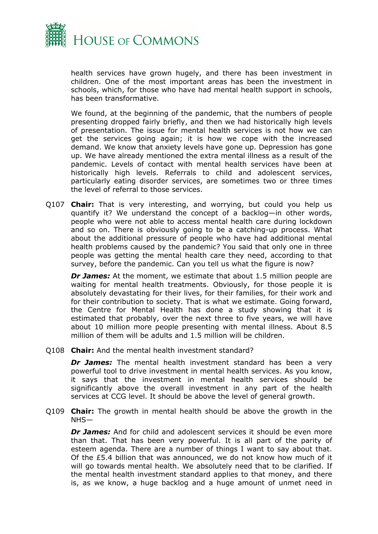

health services have grown hugely, and there has been investment in children. One of the most important areas has been the investment in schools, which, for those who have had mental health support in schools, has been transformative.

We found, at the beginning of the pandemic, that the numbers of people presenting dropped fairly briefly, and then we had historically high levels of presentation. The issue for mental health services is not how we can get the services going again; it is how we cope with the increased demand. We know that anxiety levels have gone up. Depression has gone up. We have already mentioned the extra mental illness as a result of the pandemic. Levels of contact with mental health services have been at historically high levels. Referrals to child and adolescent services, particularly eating disorder services, are sometimes two or three times the level of referral to those services.

Q107 **Chair:** That is very interesting, and worrying, but could you help us quantify it? We understand the concept of a backlog—in other words, people who were not able to access mental health care during lockdown and so on. There is obviously going to be a catching-up process. What about the additional pressure of people who have had additional mental health problems caused by the pandemic? You said that only one in three people was getting the mental health care they need, according to that survey, before the pandemic. Can you tell us what the figure is now?

*Dr James:* At the moment, we estimate that about 1.5 million people are waiting for mental health treatments. Obviously, for those people it is absolutely devastating for their lives, for their families, for their work and for their contribution to society. That is what we estimate. Going forward, the Centre for Mental Health has done a study showing that it is estimated that probably, over the next three to five years, we will have about 10 million more people presenting with mental illness. About 8.5 million of them will be adults and 1.5 million will be children.

Q108 **Chair:** And the mental health investment standard?

*Dr James:* The mental health investment standard has been a very powerful tool to drive investment in mental health services. As you know, it says that the investment in mental health services should be significantly above the overall investment in any part of the health services at CCG level. It should be above the level of general growth.

Q109 **Chair:** The growth in mental health should be above the growth in the NHS—

*Dr James:* And for child and adolescent services it should be even more than that. That has been very powerful. It is all part of the parity of esteem agenda. There are a number of things I want to say about that. Of the £5.4 billion that was announced, we do not know how much of it will go towards mental health. We absolutely need that to be clarified. If the mental health investment standard applies to that money, and there is, as we know, a huge backlog and a huge amount of unmet need in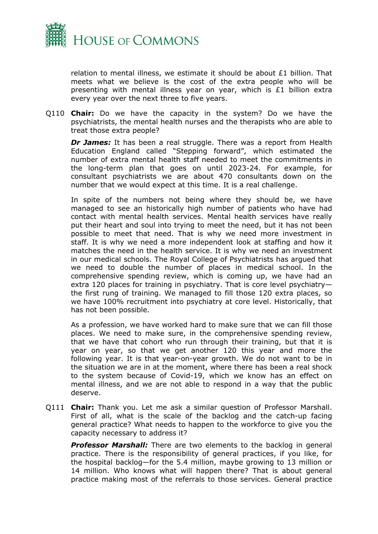

relation to mental illness, we estimate it should be about £1 billion. That meets what we believe is the cost of the extra people who will be presenting with mental illness year on year, which is £1 billion extra every year over the next three to five years.

Q110 **Chair:** Do we have the capacity in the system? Do we have the psychiatrists, the mental health nurses and the therapists who are able to treat those extra people?

**Dr James:** It has been a real struggle. There was a report from Health Education England called "Stepping forward", which estimated the number of extra mental health staff needed to meet the commitments in the long-term plan that goes on until 2023-24. For example, for consultant psychiatrists we are about 470 consultants down on the number that we would expect at this time. It is a real challenge.

In spite of the numbers not being where they should be, we have managed to see an historically high number of patients who have had contact with mental health services. Mental health services have really put their heart and soul into trying to meet the need, but it has not been possible to meet that need. That is why we need more investment in staff. It is why we need a more independent look at staffing and how it matches the need in the health service. It is why we need an investment in our medical schools. The Royal College of Psychiatrists has argued that we need to double the number of places in medical school. In the comprehensive spending review, which is coming up, we have had an extra 120 places for training in psychiatry. That is core level psychiatry the first rung of training. We managed to fill those 120 extra places, so we have 100% recruitment into psychiatry at core level. Historically, that has not been possible.

As a profession, we have worked hard to make sure that we can fill those places. We need to make sure, in the comprehensive spending review, that we have that cohort who run through their training, but that it is year on year, so that we get another 120 this year and more the following year. It is that year-on-year growth. We do not want to be in the situation we are in at the moment, where there has been a real shock to the system because of Covid-19, which we know has an effect on mental illness, and we are not able to respond in a way that the public deserve.

Q111 **Chair:** Thank you. Let me ask a similar question of Professor Marshall. First of all, what is the scale of the backlog and the catch-up facing general practice? What needs to happen to the workforce to give you the capacity necessary to address it?

**Professor Marshall:** There are two elements to the backlog in general practice. There is the responsibility of general practices, if you like, for the hospital backlog—for the 5.4 million, maybe growing to 13 million or 14 million. Who knows what will happen there? That is about general practice making most of the referrals to those services. General practice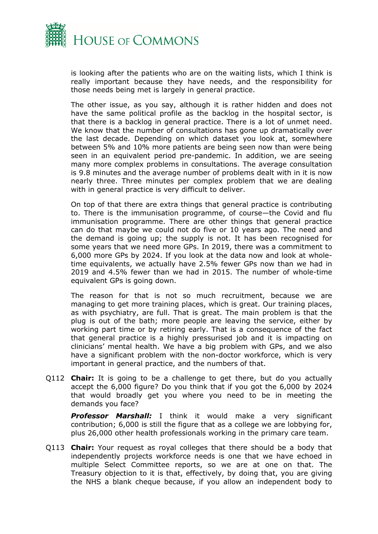

is looking after the patients who are on the waiting lists, which I think is really important because they have needs, and the responsibility for those needs being met is largely in general practice.

The other issue, as you say, although it is rather hidden and does not have the same political profile as the backlog in the hospital sector, is that there is a backlog in general practice. There is a lot of unmet need. We know that the number of consultations has gone up dramatically over the last decade. Depending on which dataset you look at, somewhere between 5% and 10% more patients are being seen now than were being seen in an equivalent period pre-pandemic. In addition, we are seeing many more complex problems in consultations. The average consultation is 9.8 minutes and the average number of problems dealt with in it is now nearly three. Three minutes per complex problem that we are dealing with in general practice is very difficult to deliver.

On top of that there are extra things that general practice is contributing to. There is the immunisation programme, of course—the Covid and flu immunisation programme. There are other things that general practice can do that maybe we could not do five or 10 years ago. The need and the demand is going up; the supply is not. It has been recognised for some years that we need more GPs. In 2019, there was a commitment to 6,000 more GPs by 2024. If you look at the data now and look at wholetime equivalents, we actually have 2.5% fewer GPs now than we had in 2019 and 4.5% fewer than we had in 2015. The number of whole-time equivalent GPs is going down.

The reason for that is not so much recruitment, because we are managing to get more training places, which is great. Our training places, as with psychiatry, are full. That is great. The main problem is that the plug is out of the bath; more people are leaving the service, either by working part time or by retiring early. That is a consequence of the fact that general practice is a highly pressurised job and it is impacting on clinicians' mental health. We have a big problem with GPs, and we also have a significant problem with the non-doctor workforce, which is very important in general practice, and the numbers of that.

Q112 **Chair:** It is going to be a challenge to get there, but do you actually accept the 6,000 figure? Do you think that if you got the 6,000 by 2024 that would broadly get you where you need to be in meeting the demands you face?

*Professor Marshall:* I think it would make a very significant contribution; 6,000 is still the figure that as a college we are lobbying for, plus 26,000 other health professionals working in the primary care team.

Q113 **Chair:** Your request as royal colleges that there should be a body that independently projects workforce needs is one that we have echoed in multiple Select Committee reports, so we are at one on that. The Treasury objection to it is that, effectively, by doing that, you are giving the NHS a blank cheque because, if you allow an independent body to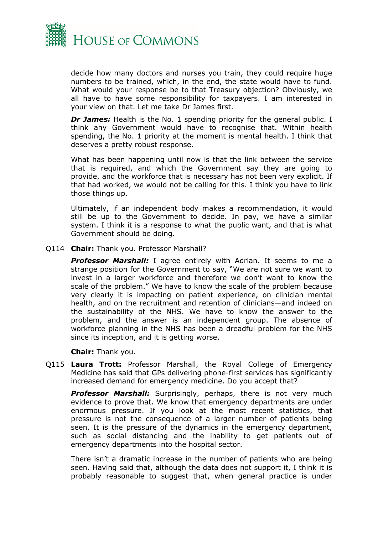

decide how many doctors and nurses you train, they could require huge numbers to be trained, which, in the end, the state would have to fund. What would your response be to that Treasury objection? Obviously, we all have to have some responsibility for taxpayers. I am interested in your view on that. Let me take Dr James first.

*Dr James:* Health is the No. 1 spending priority for the general public. I think any Government would have to recognise that. Within health spending, the No. 1 priority at the moment is mental health. I think that deserves a pretty robust response.

What has been happening until now is that the link between the service that is required, and which the Government say they are going to provide, and the workforce that is necessary has not been very explicit. If that had worked, we would not be calling for this. I think you have to link those things up.

Ultimately, if an independent body makes a recommendation, it would still be up to the Government to decide. In pay, we have a similar system. I think it is a response to what the public want, and that is what Government should be doing.

Q114 **Chair:** Thank you. Professor Marshall?

*Professor Marshall:* I agree entirely with Adrian. It seems to me a strange position for the Government to say, "We are not sure we want to invest in a larger workforce and therefore we don't want to know the scale of the problem." We have to know the scale of the problem because very clearly it is impacting on patient experience, on clinician mental health, and on the recruitment and retention of clinicians—and indeed on the sustainability of the NHS. We have to know the answer to the problem, and the answer is an independent group. The absence of workforce planning in the NHS has been a dreadful problem for the NHS since its inception, and it is getting worse.

**Chair:** Thank you.

Q115 **Laura Trott:** Professor Marshall, the Royal College of Emergency Medicine has said that GPs delivering phone-first services has significantly increased demand for emergency medicine. Do you accept that?

**Professor Marshall:** Surprisingly, perhaps, there is not very much evidence to prove that. We know that emergency departments are under enormous pressure. If you look at the most recent statistics, that pressure is not the consequence of a larger number of patients being seen. It is the pressure of the dynamics in the emergency department, such as social distancing and the inability to get patients out of emergency departments into the hospital sector.

There isn't a dramatic increase in the number of patients who are being seen. Having said that, although the data does not support it, I think it is probably reasonable to suggest that, when general practice is under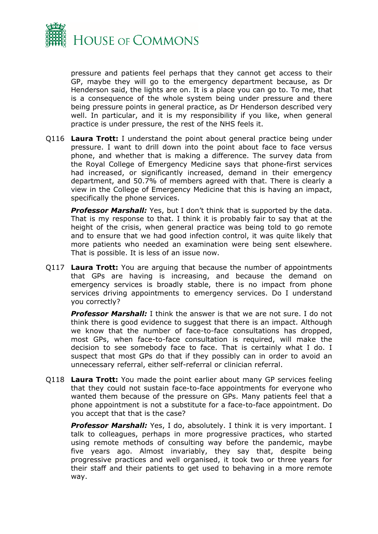

pressure and patients feel perhaps that they cannot get access to their GP, maybe they will go to the emergency department because, as Dr Henderson said, the lights are on. It is a place you can go to. To me, that is a consequence of the whole system being under pressure and there being pressure points in general practice, as Dr Henderson described very well. In particular, and it is my responsibility if you like, when general practice is under pressure, the rest of the NHS feels it.

Q116 **Laura Trott:** I understand the point about general practice being under pressure. I want to drill down into the point about face to face versus phone, and whether that is making a difference. The survey data from the Royal College of Emergency Medicine says that phone-first services had increased, or significantly increased, demand in their emergency department, and 50.7% of members agreed with that. There is clearly a view in the College of Emergency Medicine that this is having an impact, specifically the phone services.

*Professor Marshall:* Yes, but I don't think that is supported by the data. That is my response to that. I think it is probably fair to say that at the height of the crisis, when general practice was being told to go remote and to ensure that we had good infection control, it was quite likely that more patients who needed an examination were being sent elsewhere. That is possible. It is less of an issue now.

Q117 **Laura Trott:** You are arguing that because the number of appointments that GPs are having is increasing, and because the demand on emergency services is broadly stable, there is no impact from phone services driving appointments to emergency services. Do I understand you correctly?

*Professor Marshall:* I think the answer is that we are not sure. I do not think there is good evidence to suggest that there is an impact. Although we know that the number of face-to-face consultations has dropped, most GPs, when face-to-face consultation is required, will make the decision to see somebody face to face. That is certainly what I do. I suspect that most GPs do that if they possibly can in order to avoid an unnecessary referral, either self-referral or clinician referral.

Q118 **Laura Trott:** You made the point earlier about many GP services feeling that they could not sustain face-to-face appointments for everyone who wanted them because of the pressure on GPs. Many patients feel that a phone appointment is not a substitute for a face-to-face appointment. Do you accept that that is the case?

**Professor Marshall:** Yes, I do, absolutely. I think it is very important. I talk to colleagues, perhaps in more progressive practices, who started using remote methods of consulting way before the pandemic, maybe five years ago. Almost invariably, they say that, despite being progressive practices and well organised, it took two or three years for their staff and their patients to get used to behaving in a more remote way.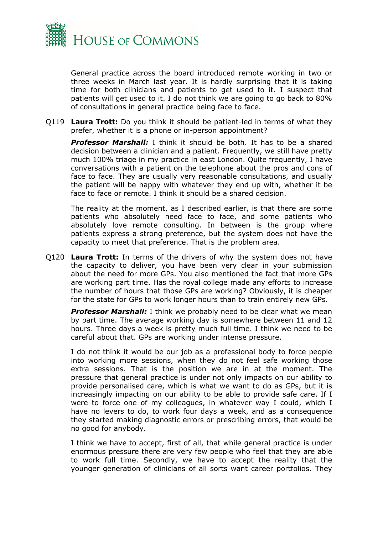

General practice across the board introduced remote working in two or three weeks in March last year. It is hardly surprising that it is taking time for both clinicians and patients to get used to it. I suspect that patients will get used to it. I do not think we are going to go back to 80% of consultations in general practice being face to face.

Q119 **Laura Trott:** Do you think it should be patient-led in terms of what they prefer, whether it is a phone or in-person appointment?

*Professor Marshall:* I think it should be both. It has to be a shared decision between a clinician and a patient. Frequently, we still have pretty much 100% triage in my practice in east London. Quite frequently, I have conversations with a patient on the telephone about the pros and cons of face to face. They are usually very reasonable consultations, and usually the patient will be happy with whatever they end up with, whether it be face to face or remote. I think it should be a shared decision.

The reality at the moment, as I described earlier, is that there are some patients who absolutely need face to face, and some patients who absolutely love remote consulting. In between is the group where patients express a strong preference, but the system does not have the capacity to meet that preference. That is the problem area.

Q120 **Laura Trott:** In terms of the drivers of why the system does not have the capacity to deliver, you have been very clear in your submission about the need for more GPs. You also mentioned the fact that more GPs are working part time. Has the royal college made any efforts to increase the number of hours that those GPs are working? Obviously, it is cheaper for the state for GPs to work longer hours than to train entirely new GPs.

**Professor Marshall:** I think we probably need to be clear what we mean by part time. The average working day is somewhere between 11 and 12 hours. Three days a week is pretty much full time. I think we need to be careful about that. GPs are working under intense pressure.

I do not think it would be our job as a professional body to force people into working more sessions, when they do not feel safe working those extra sessions. That is the position we are in at the moment. The pressure that general practice is under not only impacts on our ability to provide personalised care, which is what we want to do as GPs, but it is increasingly impacting on our ability to be able to provide safe care. If I were to force one of my colleagues, in whatever way I could, which I have no levers to do, to work four days a week, and as a consequence they started making diagnostic errors or prescribing errors, that would be no good for anybody.

I think we have to accept, first of all, that while general practice is under enormous pressure there are very few people who feel that they are able to work full time. Secondly, we have to accept the reality that the younger generation of clinicians of all sorts want career portfolios. They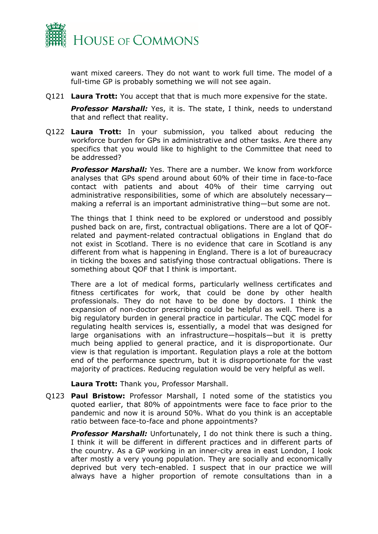

want mixed careers. They do not want to work full time. The model of a full-time GP is probably something we will not see again.

Q121 **Laura Trott:** You accept that that is much more expensive for the state.

*Professor Marshall:* Yes, it is. The state, I think, needs to understand that and reflect that reality.

Q122 **Laura Trott:** In your submission, you talked about reducing the workforce burden for GPs in administrative and other tasks. Are there any specifics that you would like to highlight to the Committee that need to be addressed?

**Professor Marshall:** Yes. There are a number. We know from workforce analyses that GPs spend around about 60% of their time in face-to-face contact with patients and about 40% of their time carrying out administrative responsibilities, some of which are absolutely necessary making a referral is an important administrative thing—but some are not.

The things that I think need to be explored or understood and possibly pushed back on are, first, contractual obligations. There are a lot of QOFrelated and payment-related contractual obligations in England that do not exist in Scotland. There is no evidence that care in Scotland is any different from what is happening in England. There is a lot of bureaucracy in ticking the boxes and satisfying those contractual obligations. There is something about QOF that I think is important.

There are a lot of medical forms, particularly wellness certificates and fitness certificates for work, that could be done by other health professionals. They do not have to be done by doctors. I think the expansion of non-doctor prescribing could be helpful as well. There is a big regulatory burden in general practice in particular. The CQC model for regulating health services is, essentially, a model that was designed for large organisations with an infrastructure—hospitals—but it is pretty much being applied to general practice, and it is disproportionate. Our view is that regulation is important. Regulation plays a role at the bottom end of the performance spectrum, but it is disproportionate for the vast majority of practices. Reducing regulation would be very helpful as well.

**Laura Trott:** Thank you, Professor Marshall.

Q123 **Paul Bristow:** Professor Marshall, I noted some of the statistics you quoted earlier, that 80% of appointments were face to face prior to the pandemic and now it is around 50%. What do you think is an acceptable ratio between face-to-face and phone appointments?

*Professor Marshall:* Unfortunately, I do not think there is such a thing. I think it will be different in different practices and in different parts of the country. As a GP working in an inner-city area in east London, I look after mostly a very young population. They are socially and economically deprived but very tech-enabled. I suspect that in our practice we will always have a higher proportion of remote consultations than in a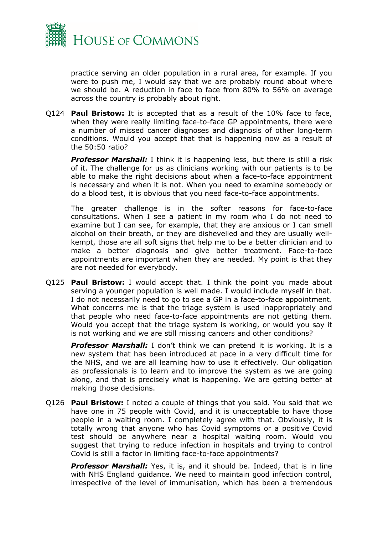

practice serving an older population in a rural area, for example. If you were to push me, I would say that we are probably round about where we should be. A reduction in face to face from 80% to 56% on average across the country is probably about right.

Q124 **Paul Bristow:** It is accepted that as a result of the 10% face to face, when they were really limiting face-to-face GP appointments, there were a number of missed cancer diagnoses and diagnosis of other long-term conditions. Would you accept that that is happening now as a result of the 50:50 ratio?

**Professor Marshall:** I think it is happening less, but there is still a risk of it. The challenge for us as clinicians working with our patients is to be able to make the right decisions about when a face-to-face appointment is necessary and when it is not. When you need to examine somebody or do a blood test, it is obvious that you need face-to-face appointments.

The greater challenge is in the softer reasons for face-to-face consultations. When I see a patient in my room who I do not need to examine but I can see, for example, that they are anxious or I can smell alcohol on their breath, or they are dishevelled and they are usually wellkempt, those are all soft signs that help me to be a better clinician and to make a better diagnosis and give better treatment. Face-to-face appointments are important when they are needed. My point is that they are not needed for everybody.

Q125 **Paul Bristow:** I would accept that. I think the point you made about serving a younger population is well made. I would include myself in that. I do not necessarily need to go to see a GP in a face-to-face appointment. What concerns me is that the triage system is used inappropriately and that people who need face-to-face appointments are not getting them. Would you accept that the triage system is working, or would you say it is not working and we are still missing cancers and other conditions?

*Professor Marshall:* I don't think we can pretend it is working. It is a new system that has been introduced at pace in a very difficult time for the NHS, and we are all learning how to use it effectively. Our obligation as professionals is to learn and to improve the system as we are going along, and that is precisely what is happening. We are getting better at making those decisions.

Q126 **Paul Bristow:** I noted a couple of things that you said. You said that we have one in 75 people with Covid, and it is unacceptable to have those people in a waiting room. I completely agree with that. Obviously, it is totally wrong that anyone who has Covid symptoms or a positive Covid test should be anywhere near a hospital waiting room. Would you suggest that trying to reduce infection in hospitals and trying to control Covid is still a factor in limiting face-to-face appointments?

*Professor Marshall:* Yes, it is, and it should be. Indeed, that is in line with NHS England guidance. We need to maintain good infection control, irrespective of the level of immunisation, which has been a tremendous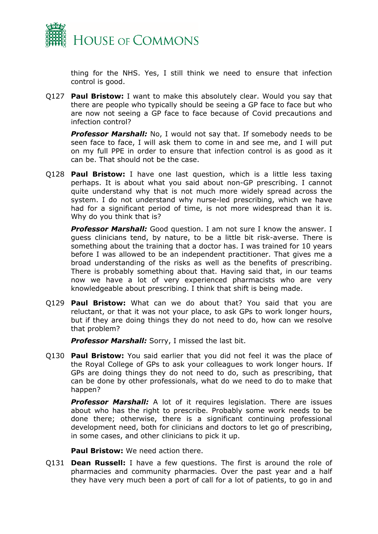

thing for the NHS. Yes, I still think we need to ensure that infection control is good.

Q127 **Paul Bristow:** I want to make this absolutely clear. Would you say that there are people who typically should be seeing a GP face to face but who are now not seeing a GP face to face because of Covid precautions and infection control?

*Professor Marshall:* No, I would not say that. If somebody needs to be seen face to face, I will ask them to come in and see me, and I will put on my full PPE in order to ensure that infection control is as good as it can be. That should not be the case.

Q128 **Paul Bristow:** I have one last question, which is a little less taxing perhaps. It is about what you said about non-GP prescribing. I cannot quite understand why that is not much more widely spread across the system. I do not understand why nurse-led prescribing, which we have had for a significant period of time, is not more widespread than it is. Why do you think that is?

**Professor Marshall:** Good question. I am not sure I know the answer. I guess clinicians tend, by nature, to be a little bit risk-averse. There is something about the training that a doctor has. I was trained for 10 years before I was allowed to be an independent practitioner. That gives me a broad understanding of the risks as well as the benefits of prescribing. There is probably something about that. Having said that, in our teams now we have a lot of very experienced pharmacists who are very knowledgeable about prescribing. I think that shift is being made.

Q129 **Paul Bristow:** What can we do about that? You said that you are reluctant, or that it was not your place, to ask GPs to work longer hours, but if they are doing things they do not need to do, how can we resolve that problem?

*Professor Marshall:* Sorry, I missed the last bit.

Q130 **Paul Bristow:** You said earlier that you did not feel it was the place of the Royal College of GPs to ask your colleagues to work longer hours. If GPs are doing things they do not need to do, such as prescribing, that can be done by other professionals, what do we need to do to make that happen?

*Professor Marshall:* A lot of it requires legislation. There are issues about who has the right to prescribe. Probably some work needs to be done there; otherwise, there is a significant continuing professional development need, both for clinicians and doctors to let go of prescribing, in some cases, and other clinicians to pick it up.

**Paul Bristow:** We need action there.

Q131 **Dean Russell:** I have a few questions. The first is around the role of pharmacies and community pharmacies. Over the past year and a half they have very much been a port of call for a lot of patients, to go in and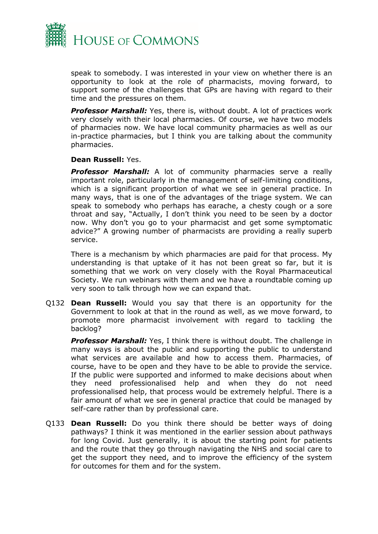

speak to somebody. I was interested in your view on whether there is an opportunity to look at the role of pharmacists, moving forward, to support some of the challenges that GPs are having with regard to their time and the pressures on them.

*Professor Marshall:* Yes, there is, without doubt. A lot of practices work very closely with their local pharmacies. Of course, we have two models of pharmacies now. We have local community pharmacies as well as our in-practice pharmacies, but I think you are talking about the community pharmacies.

## **Dean Russell:** Yes.

*Professor Marshall:* A lot of community pharmacies serve a really important role, particularly in the management of self-limiting conditions, which is a significant proportion of what we see in general practice. In many ways, that is one of the advantages of the triage system. We can speak to somebody who perhaps has earache, a chesty cough or a sore throat and say, "Actually, I don't think you need to be seen by a doctor now. Why don't you go to your pharmacist and get some symptomatic advice?" A growing number of pharmacists are providing a really superb service.

There is a mechanism by which pharmacies are paid for that process. My understanding is that uptake of it has not been great so far, but it is something that we work on very closely with the Royal Pharmaceutical Society. We run webinars with them and we have a roundtable coming up very soon to talk through how we can expand that.

Q132 **Dean Russell:** Would you say that there is an opportunity for the Government to look at that in the round as well, as we move forward, to promote more pharmacist involvement with regard to tackling the backlog?

*Professor Marshall:* Yes, I think there is without doubt. The challenge in many ways is about the public and supporting the public to understand what services are available and how to access them. Pharmacies, of course, have to be open and they have to be able to provide the service. If the public were supported and informed to make decisions about when they need professionalised help and when they do not need professionalised help, that process would be extremely helpful. There is a fair amount of what we see in general practice that could be managed by self-care rather than by professional care.

Q133 **Dean Russell:** Do you think there should be better ways of doing pathways? I think it was mentioned in the earlier session about pathways for long Covid. Just generally, it is about the starting point for patients and the route that they go through navigating the NHS and social care to get the support they need, and to improve the efficiency of the system for outcomes for them and for the system.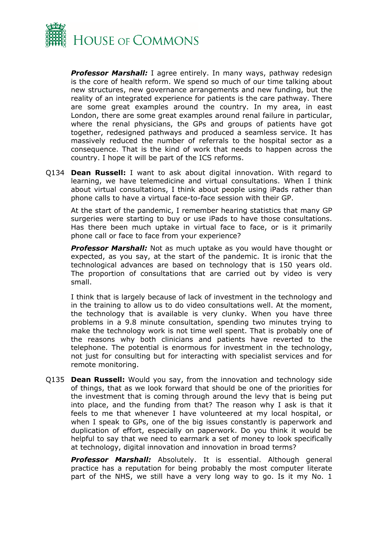

*Professor Marshall:* I agree entirely. In many ways, pathway redesign is the core of health reform. We spend so much of our time talking about new structures, new governance arrangements and new funding, but the reality of an integrated experience for patients is the care pathway. There are some great examples around the country. In my area, in east London, there are some great examples around renal failure in particular, where the renal physicians, the GPs and groups of patients have got together, redesigned pathways and produced a seamless service. It has massively reduced the number of referrals to the hospital sector as a consequence. That is the kind of work that needs to happen across the country. I hope it will be part of the ICS reforms.

Q134 **Dean Russell:** I want to ask about digital innovation. With regard to learning, we have telemedicine and virtual consultations. When I think about virtual consultations, I think about people using iPads rather than phone calls to have a virtual face-to-face session with their GP.

At the start of the pandemic, I remember hearing statistics that many GP surgeries were starting to buy or use iPads to have those consultations. Has there been much uptake in virtual face to face, or is it primarily phone call or face to face from your experience?

*Professor Marshall:* Not as much uptake as you would have thought or expected, as you say, at the start of the pandemic. It is ironic that the technological advances are based on technology that is 150 years old. The proportion of consultations that are carried out by video is very small.

I think that is largely because of lack of investment in the technology and in the training to allow us to do video consultations well. At the moment, the technology that is available is very clunky. When you have three problems in a 9.8 minute consultation, spending two minutes trying to make the technology work is not time well spent. That is probably one of the reasons why both clinicians and patients have reverted to the telephone. The potential is enormous for investment in the technology, not just for consulting but for interacting with specialist services and for remote monitoring.

Q135 **Dean Russell:** Would you say, from the innovation and technology side of things, that as we look forward that should be one of the priorities for the investment that is coming through around the levy that is being put into place, and the funding from that? The reason why I ask is that it feels to me that whenever I have volunteered at my local hospital, or when I speak to GPs, one of the big issues constantly is paperwork and duplication of effort, especially on paperwork. Do you think it would be helpful to say that we need to earmark a set of money to look specifically at technology, digital innovation and innovation in broad terms?

*Professor Marshall:* Absolutely. It is essential. Although general practice has a reputation for being probably the most computer literate part of the NHS, we still have a very long way to go. Is it my No. 1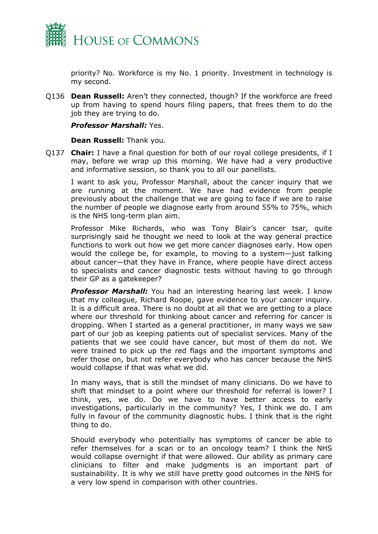

priority? No. Workforce is my No. 1 priority. Investment in technology is my second.

Q136 **Dean Russell:** Aren't they connected, though? If the workforce are freed up from having to spend hours filing papers, that frees them to do the job they are trying to do.

#### *Professor Marshall:* Yes.

#### **Dean Russell:** Thank you.

Q137 **Chair:** I have a final question for both of our royal college presidents, if I may, before we wrap up this morning. We have had a very productive and informative session, so thank you to all our panellists.

I want to ask you, Professor Marshall, about the cancer inquiry that we are running at the moment. We have had evidence from people previously about the challenge that we are going to face if we are to raise the number of people we diagnose early from around 55% to 75%, which is the NHS long-term plan aim.

Professor Mike Richards, who was Tony Blair's cancer tsar, quite surprisingly said he thought we need to look at the way general practice functions to work out how we get more cancer diagnoses early. How open would the college be, for example, to moving to a system—just talking about cancer—that they have in France, where people have direct access to specialists and cancer diagnostic tests without having to go through their GP as a gatekeeper?

*Professor Marshall:* You had an interesting hearing last week. I know that my colleague, Richard Roope, gave evidence to your cancer inquiry. It is a difficult area. There is no doubt at all that we are getting to a place where our threshold for thinking about cancer and referring for cancer is dropping. When I started as a general practitioner, in many ways we saw part of our job as keeping patients out of specialist services. Many of the patients that we see could have cancer, but most of them do not. We were trained to pick up the red flags and the important symptoms and refer those on, but not refer everybody who has cancer because the NHS would collapse if that was what we did.

In many ways, that is still the mindset of many clinicians. Do we have to shift that mindset to a point where our threshold for referral is lower? I think, yes, we do. Do we have to have better access to early investigations, particularly in the community? Yes, I think we do. I am fully in favour of the community diagnostic hubs. I think that is the right thing to do.

Should everybody who potentially has symptoms of cancer be able to refer themselves for a scan or to an oncology team? I think the NHS would collapse overnight if that were allowed. Our ability as primary care clinicians to filter and make judgments is an important part of sustainability. It is why we still have pretty good outcomes in the NHS for a very low spend in comparison with other countries.